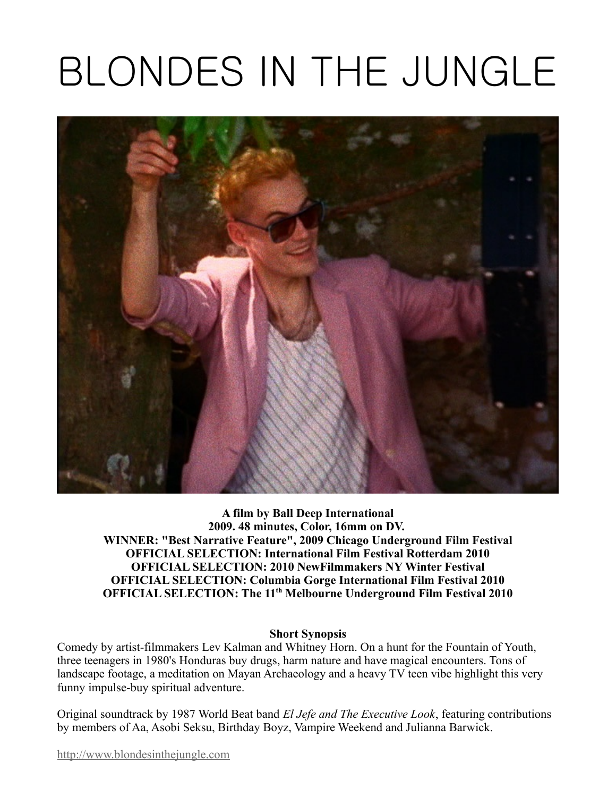# BLONDES IN THE JUNGLE



**A film by Ball Deep International 2009. 48 minutes, Color, 16mm on DV. WINNER: "Best Narrative Feature", 2009 Chicago Underground Film Festival OFFICIAL SELECTION: International Film Festival Rotterdam 2010 OFFICIAL SELECTION: 2010 NewFilmmakers NY Winter Festival OFFICIAL SELECTION: Columbia Gorge International Film Festival 2010 OFFICIAL SELECTION: The 11th Melbourne Underground Film Festival 2010**

#### **Short Synopsis**

Comedy by artist-filmmakers Lev Kalman and Whitney Horn. On a hunt for the Fountain of Youth, three teenagers in 1980's Honduras buy drugs, harm nature and have magical encounters. Tons of landscape footage, a meditation on Mayan Archaeology and a heavy TV teen vibe highlight this very funny impulse-buy spiritual adventure.

Original soundtrack by 1987 World Beat band *El Jefe and The Executive Look*, featuring contributions by members of Aa, Asobi Seksu, Birthday Boyz, Vampire Weekend and Julianna Barwick.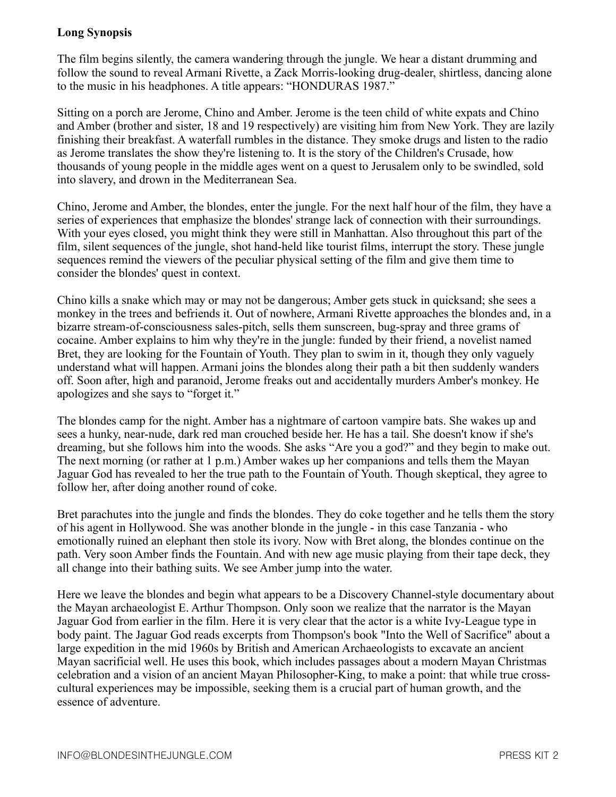# **Long Synopsis**

The film begins silently, the camera wandering through the jungle. We hear a distant drumming and follow the sound to reveal Armani Rivette, a Zack Morris-looking drug-dealer, shirtless, dancing alone to the music in his headphones. A title appears: "HONDURAS 1987."

Sitting on a porch are Jerome, Chino and Amber. Jerome is the teen child of white expats and Chino and Amber (brother and sister, 18 and 19 respectively) are visiting him from New York. They are lazily finishing their breakfast. A waterfall rumbles in the distance. They smoke drugs and listen to the radio as Jerome translates the show they're listening to. It is the story of the Children's Crusade, how thousands of young people in the middle ages went on a quest to Jerusalem only to be swindled, sold into slavery, and drown in the Mediterranean Sea.

Chino, Jerome and Amber, the blondes, enter the jungle. For the next half hour of the film, they have a series of experiences that emphasize the blondes' strange lack of connection with their surroundings. With your eyes closed, you might think they were still in Manhattan. Also throughout this part of the film, silent sequences of the jungle, shot hand-held like tourist films, interrupt the story. These jungle sequences remind the viewers of the peculiar physical setting of the film and give them time to consider the blondes' quest in context.

Chino kills a snake which may or may not be dangerous; Amber gets stuck in quicksand; she sees a monkey in the trees and befriends it. Out of nowhere, Armani Rivette approaches the blondes and, in a bizarre stream-of-consciousness sales-pitch, sells them sunscreen, bug-spray and three grams of cocaine. Amber explains to him why they're in the jungle: funded by their friend, a novelist named Bret, they are looking for the Fountain of Youth. They plan to swim in it, though they only vaguely understand what will happen. Armani joins the blondes along their path a bit then suddenly wanders off. Soon after, high and paranoid, Jerome freaks out and accidentally murders Amber's monkey. He apologizes and she says to "forget it."

The blondes camp for the night. Amber has a nightmare of cartoon vampire bats. She wakes up and sees a hunky, near-nude, dark red man crouched beside her. He has a tail. She doesn't know if she's dreaming, but she follows him into the woods. She asks "Are you a god?" and they begin to make out. The next morning (or rather at 1 p.m.) Amber wakes up her companions and tells them the Mayan Jaguar God has revealed to her the true path to the Fountain of Youth. Though skeptical, they agree to follow her, after doing another round of coke.

Bret parachutes into the jungle and finds the blondes. They do coke together and he tells them the story of his agent in Hollywood. She was another blonde in the jungle - in this case Tanzania - who emotionally ruined an elephant then stole its ivory. Now with Bret along, the blondes continue on the path. Very soon Amber finds the Fountain. And with new age music playing from their tape deck, they all change into their bathing suits. We see Amber jump into the water.

Here we leave the blondes and begin what appears to be a Discovery Channel-style documentary about the Mayan archaeologist E. Arthur Thompson. Only soon we realize that the narrator is the Mayan Jaguar God from earlier in the film. Here it is very clear that the actor is a white Ivy-League type in body paint. The Jaguar God reads excerpts from Thompson's book "Into the Well of Sacrifice" about a large expedition in the mid 1960s by British and American Archaeologists to excavate an ancient Mayan sacrificial well. He uses this book, which includes passages about a modern Mayan Christmas celebration and a vision of an ancient Mayan Philosopher-King, to make a point: that while true crosscultural experiences may be impossible, seeking them is a crucial part of human growth, and the essence of adventure.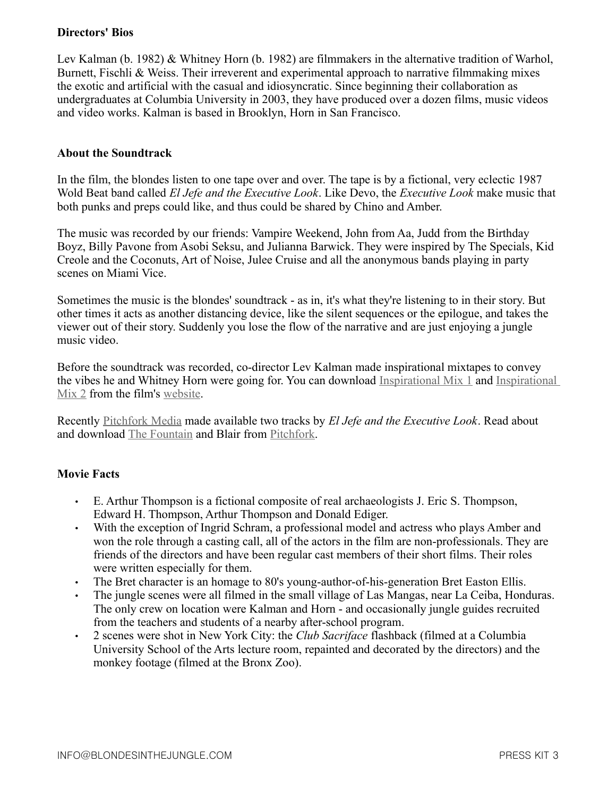## **Directors' Bios**

Lev Kalman (b. 1982) & Whitney Horn (b. 1982) are filmmakers in the alternative tradition of Warhol, Burnett, Fischli & Weiss. Their irreverent and experimental approach to narrative filmmaking mixes the exotic and artificial with the casual and idiosyncratic. Since beginning their collaboration as undergraduates at Columbia University in 2003, they have produced over a dozen films, music videos and video works. Kalman is based in Brooklyn, Horn in San Francisco.

## **About the Soundtrack**

In the film, the blondes listen to one tape over and over. The tape is by a fictional, very eclectic 1987 Wold Beat band called *El Jefe and the Executive Look*. Like Devo, the *Executive Look* make music that both punks and preps could like, and thus could be shared by Chino and Amber.

The music was recorded by our friends: Vampire Weekend, John from Aa, Judd from the Birthday Boyz, Billy Pavone from Asobi Seksu, and Julianna Barwick. They were inspired by The Specials, Kid Creole and the Coconuts, Art of Noise, Julee Cruise and all the anonymous bands playing in party scenes on Miami Vice.

Sometimes the music is the blondes' soundtrack - as in, it's what they're listening to in their story. But other times it acts as another distancing device, like the silent sequences or the epilogue, and takes the viewer out of their story. Suddenly you lose the flow of the narrative and are just enjoying a jungle music video.

Before the soundtrack was recorded, co-director Lev Kalman made inspirational mixtapes to convey the vibes he and Whitney Horn were going for. You can download [Inspirational Mix 1](http://www.blondesinthejungle.com/music.php?page=mixtape1) and [Inspirational](http://www.blondesinthejungle.com/music.php?page=mixtape2) [Mix 2](http://www.blondesinthejungle.com/music.php?page=mixtape2) from the film's [website.](http://www.blondesinthejungle.com/)

Recently [Pitchfork Media](http://www.pitchfork.com/) made available two tracks by *El Jefe and the Executive Look*. Read about and download [The Fountain](http://pitchfork.com/forkcast/13181-the-fountain-julianna-barwick-and-aas-john-atkinson/) and Blair from [Pitchfork.](http://www.pitchfork.com/)

# **Movie Facts**

- E. Arthur Thompson is a fictional composite of real archaeologists J. Eric S. Thompson, Edward H. Thompson, Arthur Thompson and Donald Ediger.
- With the exception of Ingrid Schram, a professional model and actress who plays Amber and won the role through a casting call, all of the actors in the film are non-professionals. They are friends of the directors and have been regular cast members of their short films. Their roles were written especially for them.
- The Bret character is an homage to 80's young-author-of-his-generation Bret Easton Ellis.
- The jungle scenes were all filmed in the small village of Las Mangas, near La Ceiba, Honduras. The only crew on location were Kalman and Horn - and occasionally jungle guides recruited from the teachers and students of a nearby after-school program.
- 2 scenes were shot in New York City: the *Club Sacriface* flashback (filmed at a Columbia University School of the Arts lecture room, repainted and decorated by the directors) and the monkey footage (filmed at the Bronx Zoo).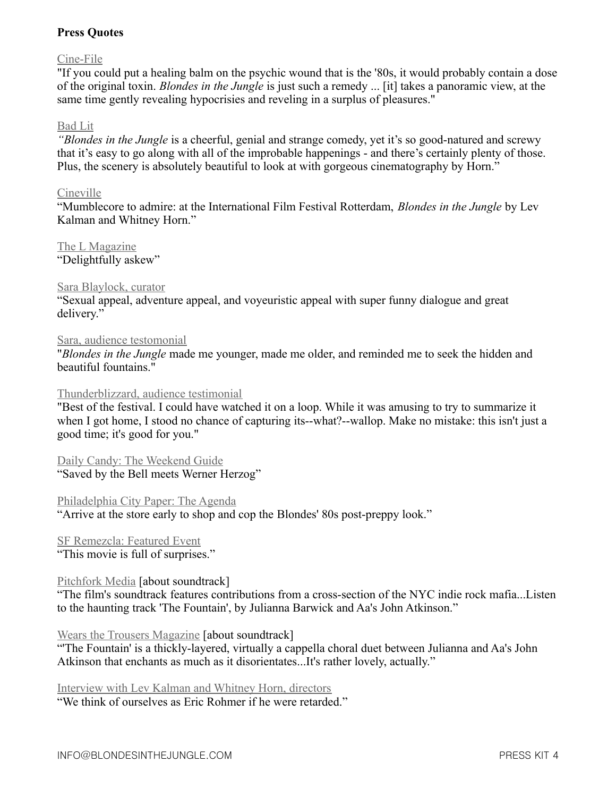# **Press Quotes**

## [Cine-File](http://cine-file.info/list.htm)

"If you could put a healing balm on the psychic wound that is the '80s, it would probably contain a dose of the original toxin. *Blondes in the Jungle* is just such a remedy ... [it] takes a panoramic view, at the same time gently revealing hypocrisies and reveling in a surplus of pleasures."

#### [Bad Lit](http://www.badlit.com/?p=3127)

*"Blondes in the Jungle* is a cheerful, genial and strange comedy, yet it's so good-natured and screwy that it's easy to go along with all of the improbable happenings - and there's certainly plenty of those. Plus, the scenery is absolutely beautiful to look at with gorgeous cinematography by Horn."

#### [Cineville](http://www.cineville.nl/planeet-mumblecore)

"Mumblecore to admire: at the International Film Festival Rotterdam, *Blondes in the Jungle* by Lev Kalman and Whitney Horn."

[The L Magazine](http://www.thelmagazine.com/newyork/so-fake-its-real/Content?oid=1376475) "Delightfully askew"

### [Sara Blaylock, curator](http://www.sarablaylock.com/BITJ.html)

"Sexual appeal, adventure appeal, and voyeuristic appeal with super funny dialogue and great delivery."

### [Sara, audience testomonial](http://www.balldeep.tv/blog/archives/266/blondes-in-the-jungle-and-friends-every-kinda-party-september-18th/#comments)

"*Blondes in the Jungle* made me younger, made me older, and reminded me to seek the hidden and beautiful fountains."

## [Thunderblizzard, audience testimonial](http://chicagounderground.bside.com/2009/films/blondesinthejungle_chicagounderground2009)

"Best of the festival. I could have watched it on a loop. While it was amusing to try to summarize it when I got home, I stood no chance of capturing its--what?--wallop. Make no mistake: this isn't just a good time; it's good for you."

[Daily Candy: The Weekend Guide](http://www.dailycandy.com/philadelphia/article/70357/The+Weekend+Guide) "Saved by the Bell meets Werner Herzog"

#### [Philadelphia City Paper: The Agenda](http://www.citypaper.net/articles/2009/07/09/shopping-spree)

"Arrive at the store early to shop and cop the Blondes' 80s post-preppy look."

[SF Remezcla: Featured Event](http://sf.remezcla.com/re/event.jsp?a=8351) "This movie is full of surprises."

[Pitchfork Media](http://pitchfork.com/news/35986-vampire-weekend-asobi-seksu-members-on-soundtrack/) [about soundtrack]

"The film's soundtrack features contributions from a cross-section of the NYC indie rock mafia...Listen to the haunting track 'The Fountain', by Julianna Barwick and Aa's John Atkinson."

#### [Wears the Trousers Magazine](http://wearsthetrousers.com/2009/07/31/free-music-friday-julianna-barwick/) [about soundtrack]

"'The Fountain' is a thickly-layered, virtually a cappella choral duet between Julianna and Aa's John Atkinson that enchants as much as it disorientates...It's rather lovely, actually."

[Interview with Lev Kalman and Whitney Horn, directors](http://www.blondesinthejungle.com/info.php?page=interview)

"We think of ourselves as Eric Rohmer if he were retarded."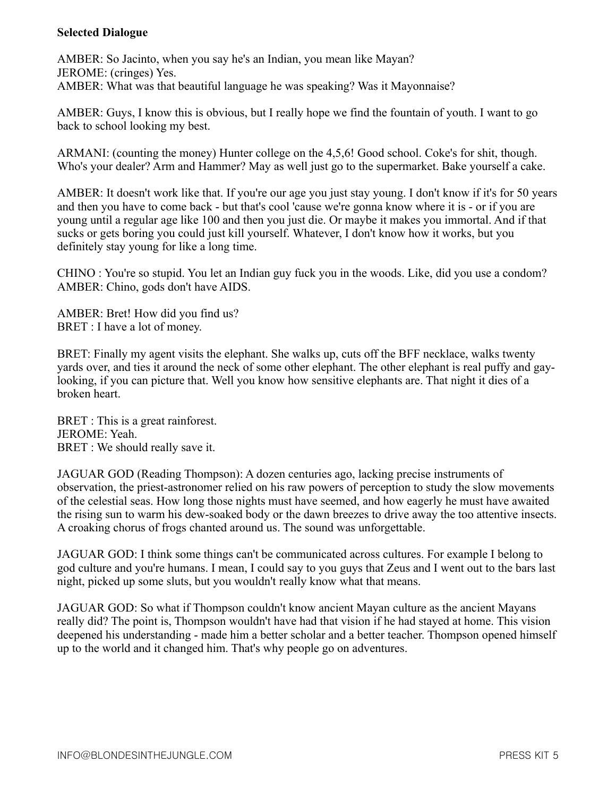## **Selected Dialogue**

AMBER: So Jacinto, when you say he's an Indian, you mean like Mayan? JEROME: (cringes) Yes. AMBER: What was that beautiful language he was speaking? Was it Mayonnaise?

AMBER: Guys, I know this is obvious, but I really hope we find the fountain of youth. I want to go back to school looking my best.

ARMANI: (counting the money) Hunter college on the 4,5,6! Good school. Coke's for shit, though. Who's your dealer? Arm and Hammer? May as well just go to the supermarket. Bake yourself a cake.

AMBER: It doesn't work like that. If you're our age you just stay young. I don't know if it's for 50 years and then you have to come back - but that's cool 'cause we're gonna know where it is - or if you are young until a regular age like 100 and then you just die. Or maybe it makes you immortal. And if that sucks or gets boring you could just kill yourself. Whatever, I don't know how it works, but you definitely stay young for like a long time.

CHINO : You're so stupid. You let an Indian guy fuck you in the woods. Like, did you use a condom? AMBER: Chino, gods don't have AIDS.

AMBER: Bret! How did you find us? BRET : I have a lot of money.

BRET: Finally my agent visits the elephant. She walks up, cuts off the BFF necklace, walks twenty yards over, and ties it around the neck of some other elephant. The other elephant is real puffy and gaylooking, if you can picture that. Well you know how sensitive elephants are. That night it dies of a broken heart.

BRET : This is a great rainforest. JEROME: Yeah. BRET : We should really save it.

JAGUAR GOD (Reading Thompson): A dozen centuries ago, lacking precise instruments of observation, the priest-astronomer relied on his raw powers of perception to study the slow movements of the celestial seas. How long those nights must have seemed, and how eagerly he must have awaited the rising sun to warm his dew-soaked body or the dawn breezes to drive away the too attentive insects. A croaking chorus of frogs chanted around us. The sound was unforgettable.

JAGUAR GOD: I think some things can't be communicated across cultures. For example I belong to god culture and you're humans. I mean, I could say to you guys that Zeus and I went out to the bars last night, picked up some sluts, but you wouldn't really know what that means.

JAGUAR GOD: So what if Thompson couldn't know ancient Mayan culture as the ancient Mayans really did? The point is, Thompson wouldn't have had that vision if he had stayed at home. This vision deepened his understanding - made him a better scholar and a better teacher. Thompson opened himself up to the world and it changed him. That's why people go on adventures.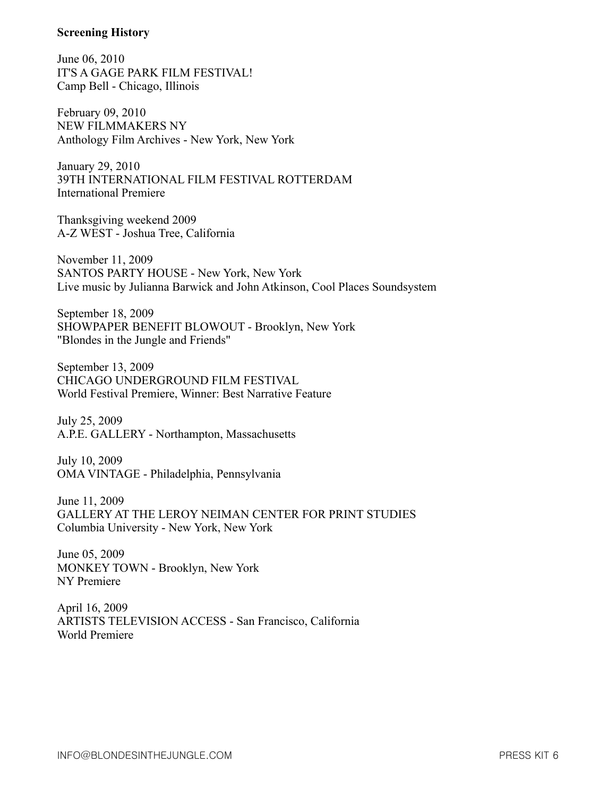## **Screening History**

June 06, 2010 IT'S A GAGE PARK FILM FESTIVAL! Camp Bell - Chicago, Illinois

February 09, 2010 NEW FILMMAKERS NY Anthology Film Archives - New York, New York

January 29, 2010 39TH INTERNATIONAL FILM FESTIVAL ROTTERDAM International Premiere

Thanksgiving weekend 2009 A-Z WEST - Joshua Tree, California

November 11, 2009 SANTOS PARTY HOUSE - New York, New York Live music by Julianna Barwick and John Atkinson, Cool Places Soundsystem

September 18, 2009 SHOWPAPER BENEFIT BLOWOUT - Brooklyn, New York "Blondes in the Jungle and Friends"

September 13, 2009 CHICAGO UNDERGROUND FILM FESTIVAL World Festival Premiere, Winner: Best Narrative Feature

July 25, 2009 A.P.E. GALLERY - Northampton, Massachusetts

July 10, 2009 OMA VINTAGE - Philadelphia, Pennsylvania

June 11, 2009 GALLERY AT THE LEROY NEIMAN CENTER FOR PRINT STUDIES Columbia University - New York, New York

June 05, 2009 MONKEY TOWN - Brooklyn, New York NY Premiere

April 16, 2009 ARTISTS TELEVISION ACCESS - San Francisco, California World Premiere